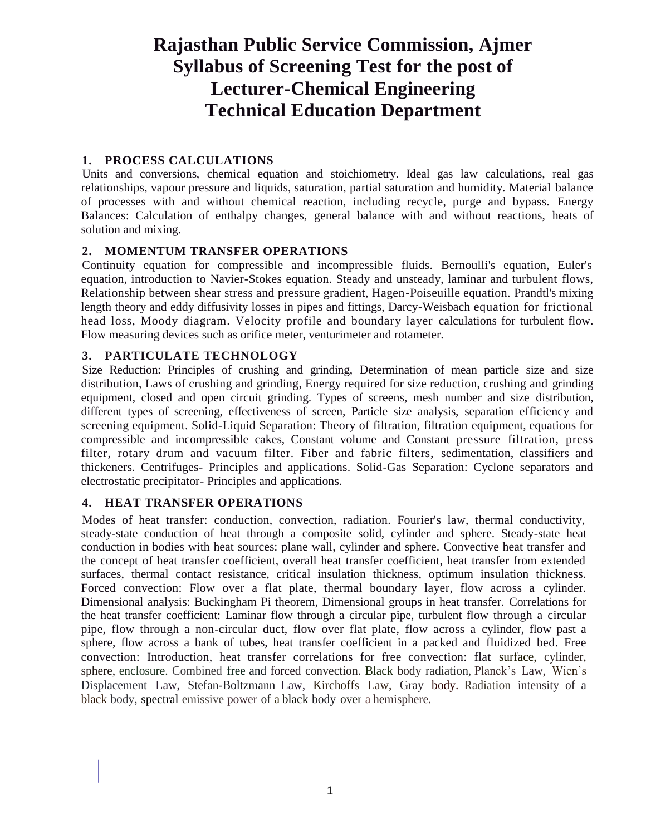# **Rajasthan Public Service Commission, Ajmer Syllabus of Screening Test for the post of Lecturer-Chemical Engineering Technical Education Department**

## **1. PROCESS CALCULATIONS**

Units and conversions, chemical equation and stoichiometry. Ideal gas law calculations, real gas relationships, vapour pressure and liquids, saturation, partial saturation and humidity. Material balance of processes with and without chemical reaction, including recycle, purge and bypass. Energy Balances: Calculation of enthalpy changes, general balance with and without reactions, heats of solution and mixing.

### **2. MOMENTUM TRANSFER OPERATIONS**

Continuity equation for compressible and incompressible fluids. Bernoulli's equation, Euler's equation, introduction to Navier-Stokes equation. Steady and unsteady, laminar and turbulent flows, Relationship between shear stress and pressure gradient, Hagen-Poiseuille equation. Prandtl's mixing length theory and eddy diffusivity losses in pipes and fittings, Darcy-Weisbach equation for frictional head loss, Moody diagram. Velocity profile and boundary layer calculations for turbulent flow. Flow measuring devices such as orifice meter, venturimeter and rotameter.

## **3. PARTICULATE TECHNOLOGY**

Size Reduction: Principles of crushing and grinding, Determination of mean particle size and size distribution, Laws of crushing and grinding, Energy required for size reduction, crushing and grinding equipment, closed and open circuit grinding. Types of screens, mesh number and size distribution, different types of screening, effectiveness of screen, Particle size analysis, separation efficiency and screening equipment. Solid-Liquid Separation: Theory of filtration, filtration equipment, equations for compressible and incompressible cakes, Constant volume and Constant pressure filtration, press filter, rotary drum and vacuum filter. Fiber and fabric filters, sedimentation, classifiers and thickeners. Centrifuges- Principles and applications. Solid-Gas Separation: Cyclone separators and electrostatic precipitator- Principles and applications.

# **4. HEAT TRANSFER OPERATIONS**

Modes of heat transfer: conduction, convection, radiation. Fourier's law, thermal conductivity, steady-state conduction of heat through a composite solid, cylinder and sphere. Steady-state heat conduction in bodies with heat sources: plane wall, cylinder and sphere. Convective heat transfer and the concept of heat transfer coefficient, overall heat transfer coefficient, heat transfer from extended surfaces, thermal contact resistance, critical insulation thickness, optimum insulation thickness. Forced convection: Flow over a flat plate, thermal boundary layer, flow across a cylinder. Dimensional analysis: Buckingham Pi theorem, Dimensional groups in heat transfer. Correlations for the heat transfer coefficient: Laminar flow through a circular pipe, turbulent flow through a circular pipe, flow through a non-circular duct, flow over flat plate, flow across a cylinder, flow past a sphere, flow across a bank of tubes, heat transfer coefficient in a packed and fluidized bed. Free convection: Introduction, heat transfer correlations for free convection: flat surface, cylinder, sphere, enclosure. Combined free and forced convection. Black body radiation, Planck's Law, Wien's Displacement Law, Stefan-Boltzmann Law, Kirchoffs Law, Gray body. Radiation intensity of a black body, spectral emissive power of a black body over a hemisphere.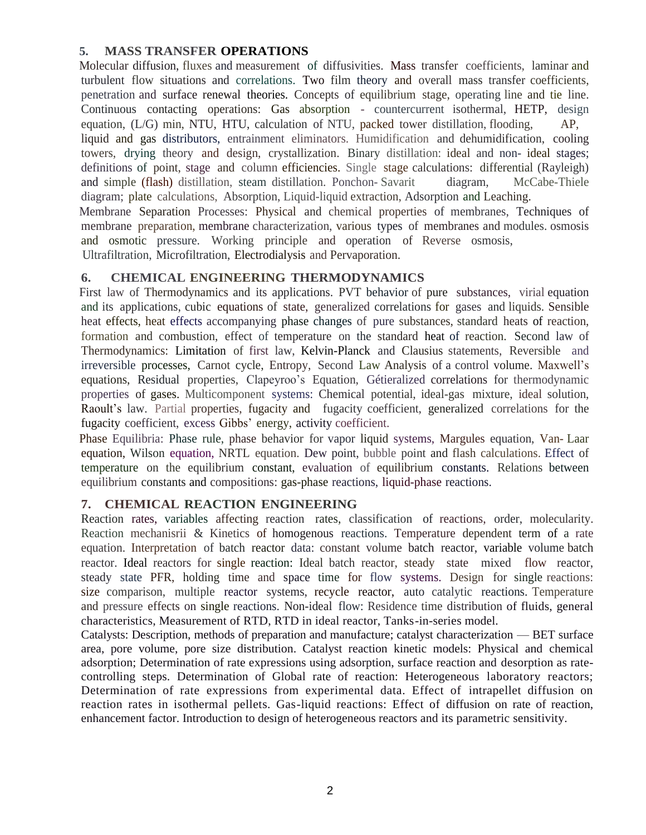# **5. MASS TRANSFER OPERATIONS**

Molecular diffusion, fluxes and measurement of diffusivities. Mass transfer coefficients, laminar and turbulent flow situations and correlations. Two film theory and overall mass transfer coefficients, penetration and surface renewal theories. Concepts of equilibrium stage, operating line and tie line. Continuous contacting operations: Gas absorption - countercurrent isothermal, HETP, design equation, (L/G) min, NTU, HTU, calculation of NTU, packed tower distillation, flooding, AP, liquid and gas distributors, entrainment eliminators. Humidification and dehumidification, cooling towers, drying theory and design, crystallization. Binary distillation: ideal and non- ideal stages; definitions of point, stage and column efficiencies. Single stage calculations: differential (Rayleigh) and simple (flash) distillation, steam distillation. Ponchon- Savarit diagram, McCabe-Thiele diagram; plate calculations, Absorption, Liquid-liquid extraction, Adsorption and Leaching. Membrane Separation Processes: Physical and chemical properties of membranes, Techniques of

membrane preparation, membrane characterization, various types of membranes and modules. osmosis and osmotic pressure. Working principle and operation of Reverse osmosis,

Ultrafiltration, Microfiltration, Electrodialysis and Pervaporation.

## **6. CHEMICAL ENGINEERING THERMODYNAMICS**

First law of Thermodynamics and its applications. PVT behavior of pure substances, virial equation and its applications, cubic equations of state, generalized correlations for gases and liquids. Sensible heat effects, heat effects accompanying phase changes of pure substances, standard heats of reaction, formation and combustion, effect of temperature on the standard heat of reaction. Second law of Thermodynamics: Limitation of first law, Kelvin-Planck and Clausius statements, Reversible and irreversible processes, Carnot cycle, Entropy, Second Law Analysis of a control volume. Maxwell's equations, Residual properties, Clapeyroo's Equation, Gétieralized correlations for thermodynamic properties of gases. Multicomponent systems: Chemical potential, ideal-gas mixture, ideal solution, Raoult's law. Partial properties, fugacity and fugacity coefficient, generalized correlations for the fugacity coefficient, excess Gibbs' energy, activity coefficient.

Phase Equilibria: Phase rule, phase behavior for vapor liquid systems, Margules equation, Van- Laar equation, Wilson equation, NRTL equation. Dew point, bubble point and flash calculations. Effect of temperature on the equilibrium constant, evaluation of equilibrium constants. Relations between equilibrium constants and compositions: gas-phase reactions, liquid-phase reactions.

# **7. CHEMICAL REACTION ENGINEERING**

Reaction rates, variables affecting reaction rates, classification of reactions, order, molecularity. Reaction mechanisrii & Kinetics of homogenous reactions. Temperature dependent term of a rate equation. Interpretation of batch reactor data: constant volume batch reactor, variable volume batch reactor. Ideal reactors for single reaction: Ideal batch reactor, steady state mixed flow reactor, steady state PFR, holding time and space time for flow systems. Design for single reactions: size comparison, multiple reactor systems, recycle reactor, auto catalytic reactions. Temperature and pressure effects on single reactions. Non-ideal flow: Residence time distribution of fluids, general characteristics, Measurement of RTD, RTD in ideal reactor, Tanks-in-series model.

Catalysts: Description, methods of preparation and manufacture; catalyst characterization — BET surface area, pore volume, pore size distribution. Catalyst reaction kinetic models: Physical and chemical adsorption; Determination of rate expressions using adsorption, surface reaction and desorption as ratecontrolling steps. Determination of Global rate of reaction: Heterogeneous laboratory reactors; Determination of rate expressions from experimental data. Effect of intrapellet diffusion on reaction rates in isothermal pellets. Gas-liquid reactions: Effect of diffusion on rate of reaction, enhancement factor. Introduction to design of heterogeneous reactors and its parametric sensitivity.